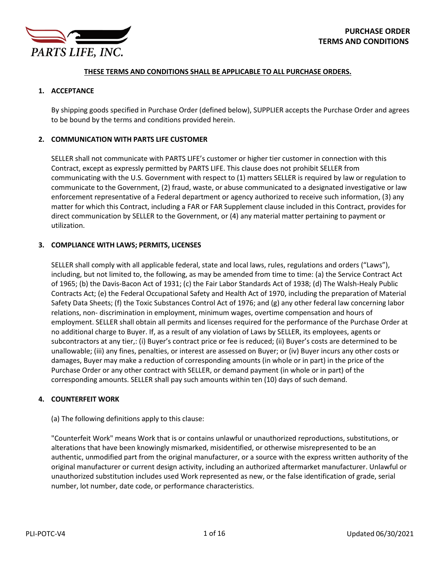

### **THESE TERMS AND CONDITIONS SHALL BE APPLICABLE TO ALL PURCHASE ORDERS.**

## **1. ACCEPTANCE**

By shipping goods specified in Purchase Order (defined below), SUPPLIER accepts the Purchase Order and agrees to be bound by the terms and conditions provided herein.

## **2. COMMUNICATION WITH PARTS LIFE CUSTOMER**

SELLER shall not communicate with PARTS LIFE's customer or higher tier customer in connection with this Contract, except as expressly permitted by PARTS LIFE. This clause does not prohibit SELLER from communicating with the U.S. Government with respect to (1) matters SELLER is required by law or regulation to communicate to the Government, (2) fraud, waste, or abuse communicated to a designated investigative or law enforcement representative of a Federal department or agency authorized to receive such information, (3) any matter for which this Contract, including a FAR or FAR Supplement clause included in this Contract, provides for direct communication by SELLER to the Government, or (4) any material matter pertaining to payment or utilization.

# **3. COMPLIANCE WITH LAWS; PERMITS, LICENSES**

SELLER shall comply with all applicable federal, state and local laws, rules, regulations and orders ("Laws"), including, but not limited to, the following, as may be amended from time to time: (a) the Service Contract Act of 1965; (b) the Davis-Bacon Act of 1931; (c) the Fair Labor Standards Act of 1938; (d) The Walsh-Healy Public Contracts Act; (e) the Federal Occupational Safety and Health Act of 1970, including the preparation of Material Safety Data Sheets; (f) the Toxic Substances Control Act of 1976; and (g) any other federal law concerning labor relations, non- discrimination in employment, minimum wages, overtime compensation and hours of employment. SELLER shall obtain all permits and licenses required for the performance of the Purchase Order at no additional charge to Buyer. If, as a result of any violation of Laws by SELLER, its employees, agents or subcontractors at any tier,: (i) Buyer's contract price or fee is reduced; (ii) Buyer's costs are determined to be unallowable; (iii) any fines, penalties, or interest are assessed on Buyer; or (iv) Buyer incurs any other costs or damages, Buyer may make a reduction of corresponding amounts (in whole or in part) in the price of the Purchase Order or any other contract with SELLER, or demand payment (in whole or in part) of the corresponding amounts. SELLER shall pay such amounts within ten (10) days of such demand.

# **4. COUNTERFEIT WORK**

# (a) The following definitions apply to this clause:

"Counterfeit Work" means Work that is or contains unlawful or unauthorized reproductions, substitutions, or alterations that have been knowingly mismarked, misidentified, or otherwise misrepresented to be an authentic, unmodified part from the original manufacturer, or a source with the express written authority of the original manufacturer or current design activity, including an authorized aftermarket manufacturer. Unlawful or unauthorized substitution includes used Work represented as new, or the false identification of grade, serial number, lot number, date code, or performance characteristics.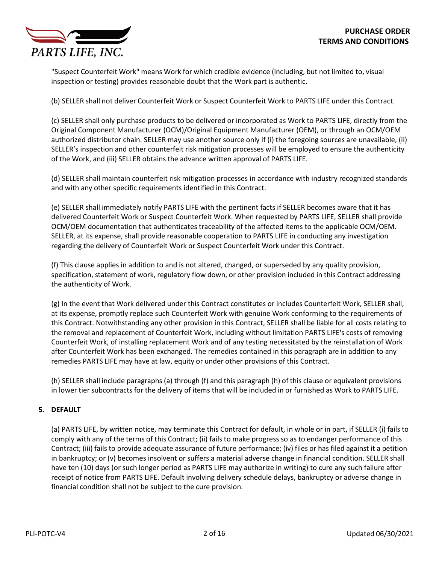

"Suspect Counterfeit Work" means Work for which credible evidence (including, but not limited to, visual inspection or testing) provides reasonable doubt that the Work part is authentic.

(b) SELLER shall not deliver Counterfeit Work or Suspect Counterfeit Work to PARTS LIFE under this Contract.

(c) SELLER shall only purchase products to be delivered or incorporated as Work to PARTS LIFE, directly from the Original Component Manufacturer (OCM)/Original Equipment Manufacturer (OEM), or through an OCM/OEM authorized distributor chain. SELLER may use another source only if (i) the foregoing sources are unavailable, (ii) SELLER's inspection and other counterfeit risk mitigation processes will be employed to ensure the authenticity of the Work, and (iii) SELLER obtains the advance written approval of PARTS LIFE.

(d) SELLER shall maintain counterfeit risk mitigation processes in accordance with industry recognized standards and with any other specific requirements identified in this Contract.

(e) SELLER shall immediately notify PARTS LIFE with the pertinent facts if SELLER becomes aware that it has delivered Counterfeit Work or Suspect Counterfeit Work. When requested by PARTS LIFE, SELLER shall provide OCM/OEM documentation that authenticates traceability of the affected items to the applicable OCM/OEM. SELLER, at its expense, shall provide reasonable cooperation to PARTS LIFE in conducting any investigation regarding the delivery of Counterfeit Work or Suspect Counterfeit Work under this Contract.

(f) This clause applies in addition to and is not altered, changed, or superseded by any quality provision, specification, statement of work, regulatory flow down, or other provision included in this Contract addressing the authenticity of Work.

(g) In the event that Work delivered under this Contract constitutes or includes Counterfeit Work, SELLER shall, at its expense, promptly replace such Counterfeit Work with genuine Work conforming to the requirements of this Contract. Notwithstanding any other provision in this Contract, SELLER shall be liable for all costs relating to the removal and replacement of Counterfeit Work, including without limitation PARTS LIFE's costs of removing Counterfeit Work, of installing replacement Work and of any testing necessitated by the reinstallation of Work after Counterfeit Work has been exchanged. The remedies contained in this paragraph are in addition to any remedies PARTS LIFE may have at law, equity or under other provisions of this Contract.

(h) SELLER shall include paragraphs (a) through (f) and this paragraph (h) of this clause or equivalent provisions in lower tier subcontracts for the delivery of items that will be included in or furnished as Work to PARTS LIFE.

# **5. DEFAULT**

(a) PARTS LIFE, by written notice, may terminate this Contract for default, in whole or in part, if SELLER (i) fails to comply with any of the terms of this Contract; (ii) fails to make progress so as to endanger performance of this Contract; (iii) fails to provide adequate assurance of future performance; (iv) files or has filed against it a petition in bankruptcy; or (v) becomes insolvent or suffers a material adverse change in financial condition. SELLER shall have ten (10) days (or such longer period as PARTS LIFE may authorize in writing) to cure any such failure after receipt of notice from PARTS LIFE. Default involving delivery schedule delays, bankruptcy or adverse change in financial condition shall not be subject to the cure provision.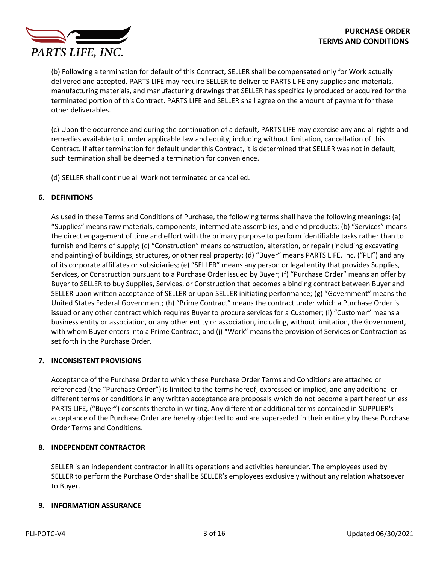

(b) Following a termination for default of this Contract, SELLER shall be compensated only for Work actually delivered and accepted. PARTS LIFE may require SELLER to deliver to PARTS LIFE any supplies and materials, manufacturing materials, and manufacturing drawings that SELLER has specifically produced or acquired for the terminated portion of this Contract. PARTS LIFE and SELLER shall agree on the amount of payment for these other deliverables.

(c) Upon the occurrence and during the continuation of a default, PARTS LIFE may exercise any and all rights and remedies available to it under applicable law and equity, including without limitation, cancellation of this Contract. If after termination for default under this Contract, it is determined that SELLER was not in default, such termination shall be deemed a termination for convenience.

(d) SELLER shall continue all Work not terminated or cancelled.

## **6. DEFINITIONS**

As used in these Terms and Conditions of Purchase, the following terms shall have the following meanings: (a) "Supplies" means raw materials, components, intermediate assemblies, and end products; (b) "Services" means the direct engagement of time and effort with the primary purpose to perform identifiable tasks rather than to furnish end items of supply; (c) "Construction" means construction, alteration, or repair (including excavating and painting) of buildings, structures, or other real property; (d) "Buyer" means PARTS LIFE, Inc. ("PLI") and any of its corporate affiliates or subsidiaries; (e) "SELLER" means any person or legal entity that provides Supplies, Services, or Construction pursuant to a Purchase Order issued by Buyer; (f) "Purchase Order" means an offer by Buyer to SELLER to buy Supplies, Services, or Construction that becomes a binding contract between Buyer and SELLER upon written acceptance of SELLER or upon SELLER initiating performance; (g) "Government" means the United States Federal Government; (h) "Prime Contract" means the contract under which a Purchase Order is issued or any other contract which requires Buyer to procure services for a Customer; (i) "Customer" means a business entity or association, or any other entity or association, including, without limitation, the Government, with whom Buyer enters into a Prime Contract; and (j) "Work" means the provision of Services or Contraction as set forth in the Purchase Order.

### **7. INCONSISTENT PROVISIONS**

Acceptance of the Purchase Order to which these Purchase Order Terms and Conditions are attached or referenced (the "Purchase Order") is limited to the terms hereof, expressed or implied, and any additional or different terms or conditions in any written acceptance are proposals which do not become a part hereof unless PARTS LIFE, ("Buyer") consents thereto in writing. Any different or additional terms contained in SUPPLIER's acceptance of the Purchase Order are hereby objected to and are superseded in their entirety by these Purchase Order Terms and Conditions.

# **8. INDEPENDENT CONTRACTOR**

SELLER is an independent contractor in all its operations and activities hereunder. The employees used by SELLER to perform the Purchase Order shall be SELLER's employees exclusively without any relation whatsoever to Buyer.

### **9. INFORMATION ASSURANCE**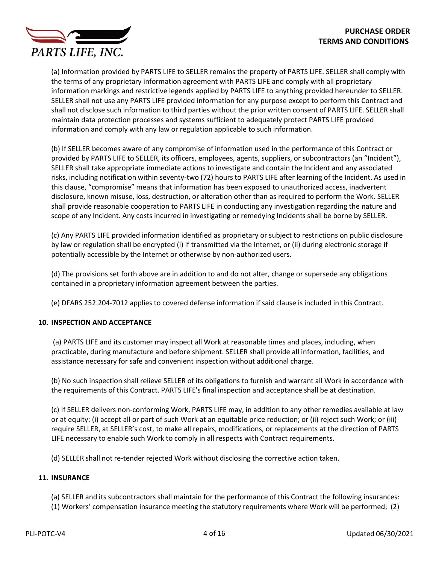

(a) Information provided by PARTS LIFE to SELLER remains the property of PARTS LIFE. SELLER shall comply with the terms of any proprietary information agreement with PARTS LIFE and comply with all proprietary information markings and restrictive legends applied by PARTS LIFE to anything provided hereunder to SELLER. SELLER shall not use any PARTS LIFE provided information for any purpose except to perform this Contract and shall not disclose such information to third parties without the prior written consent of PARTS LIFE. SELLER shall maintain data protection processes and systems sufficient to adequately protect PARTS LIFE provided information and comply with any law or regulation applicable to such information.

(b) If SELLER becomes aware of any compromise of information used in the performance of this Contract or provided by PARTS LIFE to SELLER, its officers, employees, agents, suppliers, or subcontractors (an "Incident"), SELLER shall take appropriate immediate actions to investigate and contain the Incident and any associated risks, including notification within seventy-two (72) hours to PARTS LIFE after learning of the Incident. As used in this clause, "compromise" means that information has been exposed to unauthorized access, inadvertent disclosure, known misuse, loss, destruction, or alteration other than as required to perform the Work. SELLER shall provide reasonable cooperation to PARTS LIFE in conducting any investigation regarding the nature and scope of any Incident. Any costs incurred in investigating or remedying Incidents shall be borne by SELLER.

(c) Any PARTS LIFE provided information identified as proprietary or subject to restrictions on public disclosure by law or regulation shall be encrypted (i) if transmitted via the Internet, or (ii) during electronic storage if potentially accessible by the Internet or otherwise by non-authorized users.

(d) The provisions set forth above are in addition to and do not alter, change or supersede any obligations contained in a proprietary information agreement between the parties.

(e) DFARS 252.204-7012 applies to covered defense information if said clause is included in this Contract.

# **10. INSPECTION AND ACCEPTANCE**

(a) PARTS LIFE and its customer may inspect all Work at reasonable times and places, including, when practicable, during manufacture and before shipment. SELLER shall provide all information, facilities, and assistance necessary for safe and convenient inspection without additional charge.

(b) No such inspection shall relieve SELLER of its obligations to furnish and warrant all Work in accordance with the requirements of this Contract. PARTS LIFE's final inspection and acceptance shall be at destination.

(c) If SELLER delivers non-conforming Work, PARTS LIFE may, in addition to any other remedies available at law or at equity: (i) accept all or part of such Work at an equitable price reduction; or (ii) reject such Work; or (iii) require SELLER, at SELLER's cost, to make all repairs, modifications, or replacements at the direction of PARTS LIFE necessary to enable such Work to comply in all respects with Contract requirements.

(d) SELLER shall not re-tender rejected Work without disclosing the corrective action taken.

### **11. INSURANCE**

(a) SELLER and its subcontractors shall maintain for the performance of this Contract the following insurances:

(1) Workers' compensation insurance meeting the statutory requirements where Work will be performed; (2)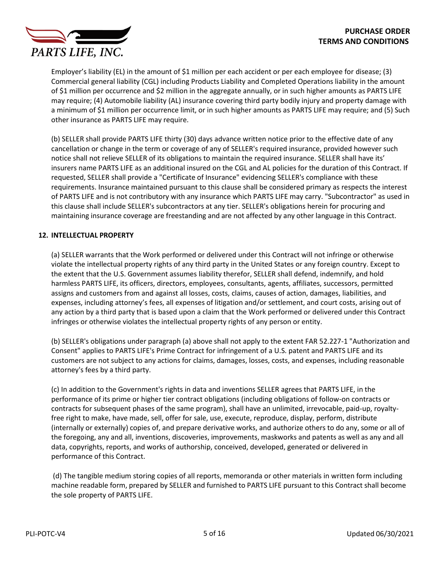

Employer's liability (EL) in the amount of \$1 million per each accident or per each employee for disease; (3) Commercial general liability (CGL) including Products Liability and Completed Operations liability in the amount of \$1 million per occurrence and \$2 million in the aggregate annually, or in such higher amounts as PARTS LIFE may require; (4) Automobile liability (AL) insurance covering third party bodily injury and property damage with a minimum of \$1 million per occurrence limit, or in such higher amounts as PARTS LIFE may require; and (5) Such other insurance as PARTS LIFE may require.

(b) SELLER shall provide PARTS LIFE thirty (30) days advance written notice prior to the effective date of any cancellation or change in the term or coverage of any of SELLER's required insurance, provided however such notice shall not relieve SELLER of its obligations to maintain the required insurance. SELLER shall have its' insurers name PARTS LIFE as an additional insured on the CGL and AL policies for the duration of this Contract. If requested, SELLER shall provide a "Certificate of Insurance" evidencing SELLER's compliance with these requirements. Insurance maintained pursuant to this clause shall be considered primary as respects the interest of PARTS LIFE and is not contributory with any insurance which PARTS LIFE may carry. "Subcontractor" as used in this clause shall include SELLER's subcontractors at any tier. SELLER's obligations herein for procuring and maintaining insurance coverage are freestanding and are not affected by any other language in this Contract.

# **12. INTELLECTUAL PROPERTY**

(a) SELLER warrants that the Work performed or delivered under this Contract will not infringe or otherwise violate the intellectual property rights of any third party in the United States or any foreign country. Except to the extent that the U.S. Government assumes liability therefor, SELLER shall defend, indemnify, and hold harmless PARTS LIFE, its officers, directors, employees, consultants, agents, affiliates, successors, permitted assigns and customers from and against all losses, costs, claims, causes of action, damages, liabilities, and expenses, including attorney's fees, all expenses of litigation and/or settlement, and court costs, arising out of any action by a third party that is based upon a claim that the Work performed or delivered under this Contract infringes or otherwise violates the intellectual property rights of any person or entity.

(b) SELLER's obligations under paragraph (a) above shall not apply to the extent FAR 52.227-1 "Authorization and Consent" applies to PARTS LIFE's Prime Contract for infringement of a U.S. patent and PARTS LIFE and its customers are not subject to any actions for claims, damages, losses, costs, and expenses, including reasonable attorney's fees by a third party.

(c) In addition to the Government's rights in data and inventions SELLER agrees that PARTS LIFE, in the performance of its prime or higher tier contract obligations (including obligations of follow-on contracts or contracts for subsequent phases of the same program), shall have an unlimited, irrevocable, paid-up, royaltyfree right to make, have made, sell, offer for sale, use, execute, reproduce, display, perform, distribute (internally or externally) copies of, and prepare derivative works, and authorize others to do any, some or all of the foregoing, any and all, inventions, discoveries, improvements, maskworks and patents as well as any and all data, copyrights, reports, and works of authorship, conceived, developed, generated or delivered in performance of this Contract.

(d) The tangible medium storing copies of all reports, memoranda or other materials in written form including machine readable form, prepared by SELLER and furnished to PARTS LIFE pursuant to this Contract shall become the sole property of PARTS LIFE.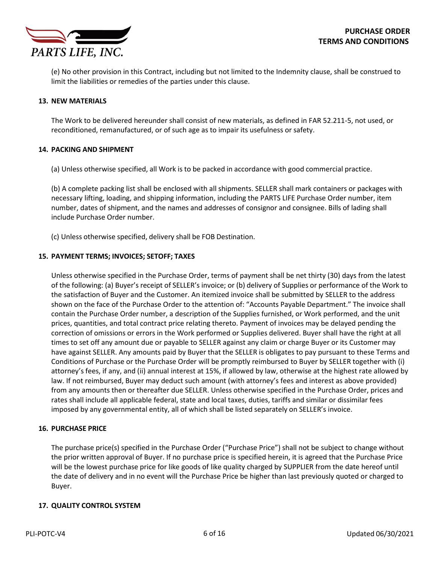

(e) No other provision in this Contract, including but not limited to the Indemnity clause, shall be construed to limit the liabilities or remedies of the parties under this clause.

### **13. NEW MATERIALS**

The Work to be delivered hereunder shall consist of new materials, as defined in FAR 52.211-5, not used, or reconditioned, remanufactured, or of such age as to impair its usefulness or safety.

#### **14. PACKING AND SHIPMENT**

(a) Unless otherwise specified, all Work is to be packed in accordance with good commercial practice.

(b) A complete packing list shall be enclosed with all shipments. SELLER shall mark containers or packages with necessary lifting, loading, and shipping information, including the PARTS LIFE Purchase Order number, item number, dates of shipment, and the names and addresses of consignor and consignee. Bills of lading shall include Purchase Order number.

(c) Unless otherwise specified, delivery shall be FOB Destination.

#### **15. PAYMENT TERMS; INVOICES; SETOFF; TAXES**

Unless otherwise specified in the Purchase Order, terms of payment shall be net thirty (30) days from the latest of the following: (a) Buyer's receipt of SELLER's invoice; or (b) delivery of Supplies or performance of the Work to the satisfaction of Buyer and the Customer. An itemized invoice shall be submitted by SELLER to the address shown on the face of the Purchase Order to the attention of: "Accounts Payable Department." The invoice shall contain the Purchase Order number, a description of the Supplies furnished, or Work performed, and the unit prices, quantities, and total contract price relating thereto. Payment of invoices may be delayed pending the correction of omissions or errors in the Work performed or Supplies delivered. Buyer shall have the right at all times to set off any amount due or payable to SELLER against any claim or charge Buyer or its Customer may have against SELLER. Any amounts paid by Buyer that the SELLER is obligates to pay pursuant to these Terms and Conditions of Purchase or the Purchase Order will be promptly reimbursed to Buyer by SELLER together with (i) attorney's fees, if any, and (ii) annual interest at 15%, if allowed by law, otherwise at the highest rate allowed by law. If not reimbursed, Buyer may deduct such amount (with attorney's fees and interest as above provided) from any amounts then or thereafter due SELLER. Unless otherwise specified in the Purchase Order, prices and rates shall include all applicable federal, state and local taxes, duties, tariffs and similar or dissimilar fees imposed by any governmental entity, all of which shall be listed separately on SELLER's invoice.

### **16. PURCHASE PRICE**

The purchase price(s) specified in the Purchase Order ("Purchase Price") shall not be subject to change without the prior written approval of Buyer. If no purchase price is specified herein, it is agreed that the Purchase Price will be the lowest purchase price for like goods of like quality charged by SUPPLIER from the date hereof until the date of delivery and in no event will the Purchase Price be higher than last previously quoted or charged to Buyer.

### **17. QUALITY CONTROL SYSTEM**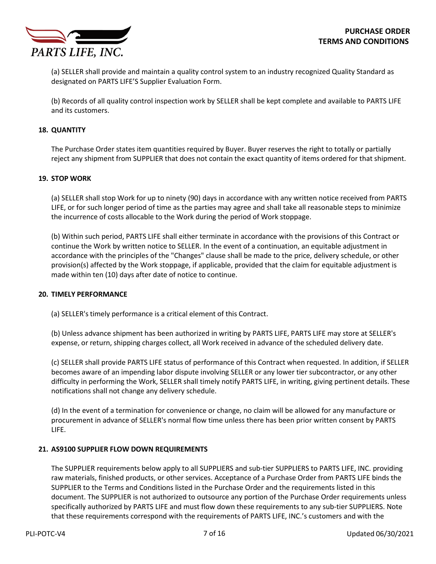

(a) SELLER shall provide and maintain a quality control system to an industry recognized Quality Standard as designated on PARTS LIFE'S Supplier Evaluation Form.

(b) Records of all quality control inspection work by SELLER shall be kept complete and available to PARTS LIFE and its customers.

### **18. QUANTITY**

The Purchase Order states item quantities required by Buyer. Buyer reserves the right to totally or partially reject any shipment from SUPPLIER that does not contain the exact quantity of items ordered for that shipment.

## **19. STOP WORK**

(a) SELLER shall stop Work for up to ninety (90) days in accordance with any written notice received from PARTS LIFE, or for such longer period of time as the parties may agree and shall take all reasonable steps to minimize the incurrence of costs allocable to the Work during the period of Work stoppage.

(b) Within such period, PARTS LIFE shall either terminate in accordance with the provisions of this Contract or continue the Work by written notice to SELLER. In the event of a continuation, an equitable adjustment in accordance with the principles of the "Changes" clause shall be made to the price, delivery schedule, or other provision(s) affected by the Work stoppage, if applicable, provided that the claim for equitable adjustment is made within ten (10) days after date of notice to continue.

### **20. TIMELY PERFORMANCE**

(a) SELLER'stimely performance is a critical element of this Contract.

(b) Unless advance shipment has been authorized in writing by PARTS LIFE, PARTS LIFE may store at SELLER's expense, or return, shipping charges collect, all Work received in advance of the scheduled delivery date.

(c) SELLER shall provide PARTS LIFE status of performance of this Contract when requested. In addition, if SELLER becomes aware of an impending labor dispute involving SELLER or any lower tier subcontractor, or any other difficulty in performing the Work, SELLER shall timely notify PARTS LIFE, in writing, giving pertinent details. These notifications shall not change any delivery schedule.

(d) In the event of a termination for convenience or change, no claim will be allowed for any manufacture or procurement in advance of SELLER's normal flow time unless there has been prior written consent by PARTS LIFE.

### **21. AS9100 SUPPLIER FLOW DOWN REQUIREMENTS**

The SUPPLIER requirements below apply to all SUPPLIERS and sub-tier SUPPLIERS to PARTS LIFE, INC. providing raw materials, finished products, or other services. Acceptance of a Purchase Order from PARTS LIFE binds the SUPPLIER to the Terms and Conditions listed in the Purchase Order and the requirements listed in this document. The SUPPLIER is not authorized to outsource any portion of the Purchase Order requirements unless specifically authorized by PARTS LIFE and must flow down these requirements to any sub-tier SUPPLIERS. Note that these requirements correspond with the requirements of PARTS LIFE, INC.'s customers and with the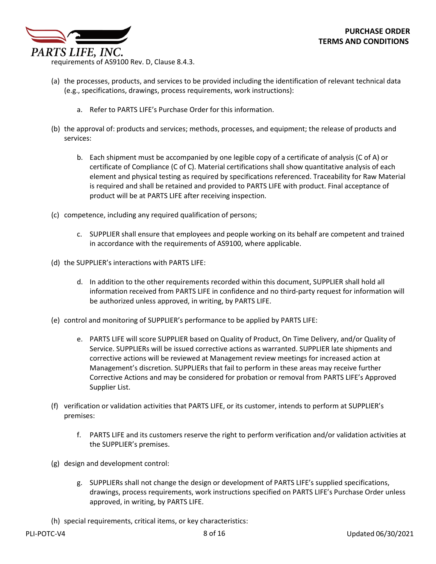

requirements of AS9100 Rev. D, Clause 8.4.3.

- (a) the processes, products, and services to be provided including the identification of relevant technical data (e.g., specifications, drawings, process requirements, work instructions):
	- a. Refer to PARTS LIFE's Purchase Order for this information.
- (b) the approval of: products and services; methods, processes, and equipment; the release of products and services:
	- b. Each shipment must be accompanied by one legible copy of a certificate of analysis (C of A) or certificate of Compliance (C of C). Material certifications shall show quantitative analysis of each element and physical testing as required by specifications referenced. Traceability for Raw Material is required and shall be retained and provided to PARTS LIFE with product. Final acceptance of product will be at PARTS LIFE after receiving inspection.
- (c) competence, including any required qualification of persons;
	- c. SUPPLIER shall ensure that employees and people working on its behalf are competent and trained in accordance with the requirements of AS9100, where applicable.
- (d) the SUPPLIER's interactions with PARTS LIFE:
	- d. In addition to the other requirements recorded within this document, SUPPLIER shall hold all information received from PARTS LIFE in confidence and no third-party request for information will be authorized unless approved, in writing, by PARTS LIFE.
- (e) control and monitoring of SUPPLIER's performance to be applied by PARTS LIFE:
	- e. PARTS LIFE will score SUPPLIER based on Quality of Product, On Time Delivery, and/or Quality of Service. SUPPLIERs will be issued corrective actions as warranted. SUPPLIER late shipments and corrective actions will be reviewed at Management review meetings for increased action at Management's discretion. SUPPLIERs that fail to perform in these areas may receive further Corrective Actions and may be considered for probation or removal from PARTS LIFE's Approved Supplier List.
- (f) verification or validation activities that PARTS LIFE, or its customer, intends to perform at SUPPLIER's premises:
	- f. PARTS LIFE and its customers reserve the right to perform verification and/or validation activities at the SUPPLIER's premises.
- (g) design and development control:
	- g. SUPPLIERs shall not change the design or development of PARTS LIFE's supplied specifications, drawings, process requirements, work instructions specified on PARTS LIFE's Purchase Order unless approved, in writing, by PARTS LIFE.
- (h) special requirements, critical items, or key characteristics: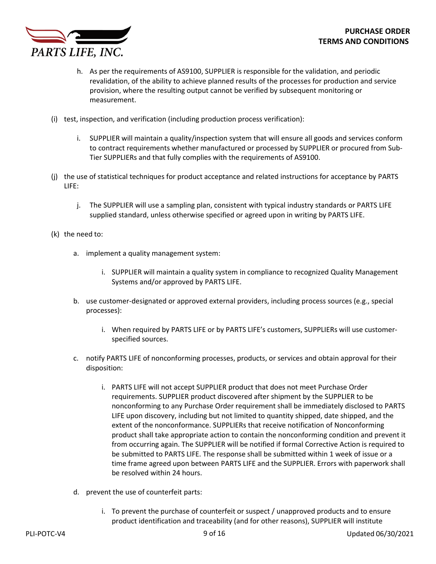

- h. As per the requirements of AS9100, SUPPLIER is responsible for the validation, and periodic revalidation, of the ability to achieve planned results of the processes for production and service provision, where the resulting output cannot be verified by subsequent monitoring or measurement.
- (i) test, inspection, and verification (including production process verification):
	- i. SUPPLIER will maintain a quality/inspection system that will ensure all goods and services conform to contract requirements whether manufactured or processed by SUPPLIER or procured from Sub-Tier SUPPLIERs and that fully complies with the requirements of AS9100.
- (j) the use of statistical techniques for product acceptance and related instructions for acceptance by PARTS LIFE:
	- j. The SUPPLIER will use a sampling plan, consistent with typical industry standards or PARTS LIFE supplied standard, unless otherwise specified or agreed upon in writing by PARTS LIFE.
- (k) the need to:
	- a. implement a quality management system:
		- i. SUPPLIER will maintain a quality system in compliance to recognized Quality Management Systems and/or approved by PARTS LIFE.
	- b. use customer-designated or approved external providers, including process sources (e.g., special processes):
		- i. When required by PARTS LIFE or by PARTS LIFE's customers, SUPPLIERs will use customerspecified sources.
	- c. notify PARTS LIFE of nonconforming processes, products, or services and obtain approval for their disposition:
		- i. PARTS LIFE will not accept SUPPLIER product that does not meet Purchase Order requirements. SUPPLIER product discovered after shipment by the SUPPLIER to be nonconforming to any Purchase Order requirement shall be immediately disclosed to PARTS LIFE upon discovery, including but not limited to quantity shipped, date shipped, and the extent of the nonconformance. SUPPLIERs that receive notification of Nonconforming product shall take appropriate action to contain the nonconforming condition and prevent it from occurring again. The SUPPLIER will be notified if formal Corrective Action is required to be submitted to PARTS LIFE. The response shall be submitted within 1 week of issue or a time frame agreed upon between PARTS LIFE and the SUPPLIER. Errors with paperwork shall be resolved within 24 hours.
	- d. prevent the use of counterfeit parts:
		- i. To prevent the purchase of counterfeit or suspect / unapproved products and to ensure product identification and traceability (and for other reasons), SUPPLIER will institute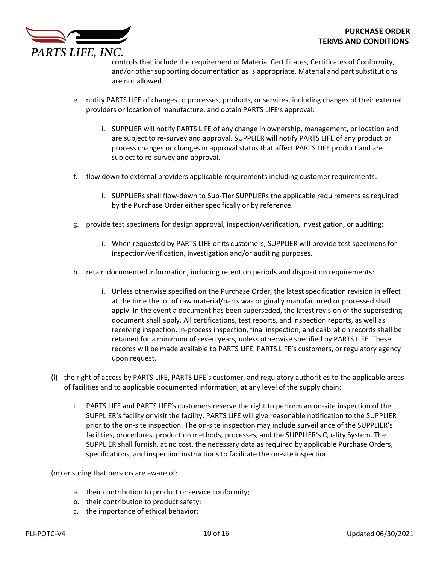

controls that include the requirement of Material Certificates, Certificates of Conformity, and/or other supporting documentation as is appropriate. Material and part substitutions are not allowed.

- e. notify PARTS LIFE of changes to processes, products, or services, including changes of their external providers or location of manufacture, and obtain PARTS LIFE's approval:
	- i. SUPPLIER will notify PARTS LIFE of any change in ownership, management, or location and are subject to re-survey and approval. SUPPLIER will notify PARTS LIFE of any product or process changes or changes in approval status that affect PARTS LIFE product and are subject to re-survey and approval.
- f. flow down to external providers applicable requirements including customer requirements:
	- i. SUPPLIERs shall flow-down to Sub-Tier SUPPLIERs the applicable requirements as required by the Purchase Order either specifically or by reference.
- g. provide test specimens for design approval, inspection/verification, investigation, or auditing:
	- i. When requested by PARTS LIFE or its customers, SUPPLIER will provide test specimens for inspection/verification, investigation and/or auditing purposes.
- h. retain documented information, including retention periods and disposition requirements:
	- i. Unless otherwise specified on the Purchase Order, the latest specification revision in effect at the time the lot of raw material/parts was originally manufactured or processed shall apply. In the event a document has been superseded, the latest revision of the superseding document shall apply. All certifications, test reports, and inspection reports, as well as receiving inspection, in-process inspection, final inspection, and calibration records shall be retained for a minimum of seven years, unless otherwise specified by PARTS LIFE. These records will be made available to PARTS LIFE, PARTS LIFE's customers, or regulatory agency upon request.
- (l) the right of access by PARTS LIFE, PARTS LIFE's customer, and regulatory authorities to the applicable areas of facilities and to applicable documented information, at any level of the supply chain:
	- l. PARTS LIFE and PARTS LIFE's customers reserve the right to perform an on-site inspection of the SUPPLIER's facility or visit the facility. PARTS LIFE will give reasonable notification to the SUPPLIER prior to the on-site inspection. The on-site inspection may include surveillance of the SUPPLIER's facilities, procedures, production methods, processes, and the SUPPLIER's Quality System. The SUPPLIER shall furnish, at no cost, the necessary data as required by applicable Purchase Orders, specifications, and inspection instructions to facilitate the on-site inspection.
- (m) ensuring that persons are aware of:
	- a. their contribution to product or service conformity;
	- b. their contribution to product safety;
	- c. the importance of ethical behavior: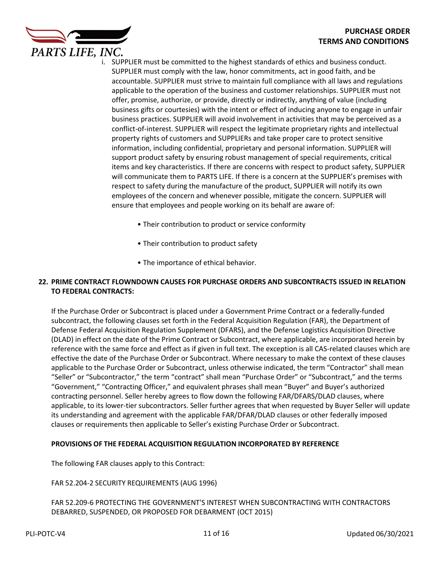

- i. SUPPLIER must be committed to the highest standards of ethics and business conduct. SUPPLIER must comply with the law, honor commitments, act in good faith, and be accountable. SUPPLIER must strive to maintain full compliance with all laws and regulations applicable to the operation of the business and customer relationships. SUPPLIER must not offer, promise, authorize, or provide, directly or indirectly, anything of value (including business gifts or courtesies) with the intent or effect of inducing anyone to engage in unfair business practices. SUPPLIER will avoid involvement in activities that may be perceived as a conflict-of-interest. SUPPLIER will respect the legitimate proprietary rights and intellectual property rights of customers and SUPPLIERs and take proper care to protect sensitive information, including confidential, proprietary and personal information. SUPPLIER will support product safety by ensuring robust management of special requirements, critical items and key characteristics. If there are concerns with respect to product safety, SUPPLIER will communicate them to PARTS LIFE. If there is a concern at the SUPPLIER's premises with respect to safety during the manufacture of the product, SUPPLIER will notify its own employees of the concern and whenever possible, mitigate the concern. SUPPLIER will ensure that employees and people working on its behalf are aware of:
	- Their contribution to product or service conformity
	- Their contribution to product safety
	- The importance of ethical behavior.

# **22. PRIME CONTRACT FLOWNDOWN CAUSES FOR PURCHASE ORDERS AND SUBCONTRACTS ISSUED IN RELATION TO FEDERAL CONTRACTS:**

If the Purchase Order or Subcontract is placed under a Government Prime Contract or a federally-funded subcontract, the following clauses set forth in the Federal Acquisition Regulation (FAR), the Department of Defense Federal Acquisition Regulation Supplement (DFARS), and the Defense Logistics Acquisition Directive (DLAD) in effect on the date of the Prime Contract or Subcontract, where applicable, are incorporated herein by reference with the same force and effect as if given in full text. The exception is all CAS-related clauses which are effective the date of the Purchase Order or Subcontract. Where necessary to make the context of these clauses applicable to the Purchase Order or Subcontract, unless otherwise indicated, the term "Contractor" shall mean "Seller" or "Subcontractor," the term "contract" shall mean "Purchase Order" or "Subcontract," and the terms "Government," "Contracting Officer," and equivalent phrases shall mean "Buyer" and Buyer's authorized contracting personnel. Seller hereby agrees to flow down the following FAR/DFARS/DLAD clauses, where applicable, to its lower-tier subcontractors. Seller further agrees that when requested by Buyer Seller will update its understanding and agreement with the applicable FAR/DFAR/DLAD clauses or other federally imposed clauses or requirements then applicable to Seller's existing Purchase Order or Subcontract.

# **PROVISIONS OF THE FEDERAL ACQUISITION REGULATION INCORPORATED BY REFERENCE**

The following FAR clauses apply to this Contract:

FAR 52.204-2 SECURITY REQUIREMENTS (AUG 1996)

FAR 52.209-6 PROTECTING THE GOVERNMENT'S INTEREST WHEN SUBCONTRACTING WITH CONTRACTORS DEBARRED, SUSPENDED, OR PROPOSED FOR DEBARMENT (OCT 2015)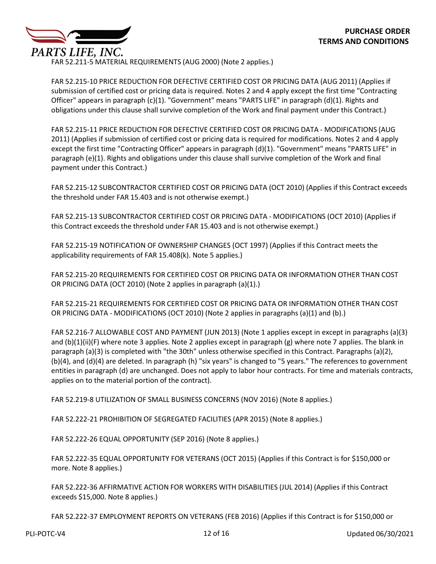

FAR 52.211-5 MATERIAL REQUIREMENTS (AUG 2000) (Note 2 applies.)

FAR 52.215-10 PRICE REDUCTION FOR DEFECTIVE CERTIFIED COST OR PRICING DATA (AUG 2011) (Applies if submission of certified cost or pricing data is required. Notes 2 and 4 apply except the first time "Contracting Officer" appears in paragraph (c)(1). "Government" means "PARTS LIFE" in paragraph (d)(1). Rights and obligations under this clause shall survive completion of the Work and final payment under this Contract.)

FAR 52.215-11 PRICE REDUCTION FOR DEFECTIVE CERTIFIED COST OR PRICING DATA - MODIFICATIONS (AUG 2011) (Applies if submission of certified cost or pricing data is required for modifications. Notes 2 and 4 apply except the first time "Contracting Officer" appears in paragraph (d)(1). "Government" means "PARTS LIFE" in paragraph (e)(1). Rights and obligations under this clause shall survive completion of the Work and final payment under this Contract.)

FAR 52.215-12 SUBCONTRACTOR CERTIFIED COST OR PRICING DATA (OCT 2010) (Applies if this Contract exceeds the threshold under FAR 15.403 and is not otherwise exempt.)

FAR 52.215-13 SUBCONTRACTOR CERTIFIED COST OR PRICING DATA - MODIFICATIONS (OCT 2010) (Applies if this Contract exceeds the threshold under FAR 15.403 and is not otherwise exempt.)

FAR 52.215-19 NOTIFICATION OF OWNERSHIP CHANGES (OCT 1997) (Applies if this Contract meets the applicability requirements of FAR 15.408(k). Note 5 applies.)

FAR 52.215-20 REQUIREMENTS FOR CERTIFIED COST OR PRICING DATA OR INFORMATION OTHER THAN COST OR PRICING DATA (OCT 2010) (Note 2 applies in paragraph (a)(1).)

FAR 52.215-21 REQUIREMENTS FOR CERTIFIED COST OR PRICING DATA OR INFORMATION OTHER THAN COST OR PRICING DATA - MODIFICATIONS (OCT 2010) (Note 2 applies in paragraphs (a)(1) and (b).)

FAR 52.216-7 ALLOWABLE COST AND PAYMENT (JUN 2013) (Note 1 applies except in except in paragraphs (a)(3) and (b)(1)(ii)(F) where note 3 applies. Note 2 applies except in paragraph (g) where note 7 applies. The blank in paragraph (a)(3) is completed with "the 30th" unless otherwise specified in this Contract. Paragraphs (a)(2), (b)(4), and (d)(4) are deleted. In paragraph (h) "six years" is changed to "5 years." The references to government entities in paragraph (d) are unchanged. Does not apply to labor hour contracts. For time and materials contracts, applies on to the material portion of the contract).

FAR 52.219-8 UTILIZATION OF SMALL BUSINESS CONCERNS (NOV 2016) (Note 8 applies.)

FAR 52.222-21 PROHIBITION OF SEGREGATED FACILITIES (APR 2015) (Note 8 applies.)

FAR 52.222-26 EQUAL OPPORTUNITY (SEP 2016) (Note 8 applies.)

FAR 52.222-35 EQUAL OPPORTUNITY FOR VETERANS (OCT 2015) (Applies if this Contract is for \$150,000 or more. Note 8 applies.)

FAR 52.222-36 AFFIRMATIVE ACTION FOR WORKERS WITH DISABILITIES (JUL 2014) (Applies if this Contract exceeds \$15,000. Note 8 applies.)

FAR 52.222-37 EMPLOYMENT REPORTS ON VETERANS (FEB 2016) (Applies if this Contract is for \$150,000 or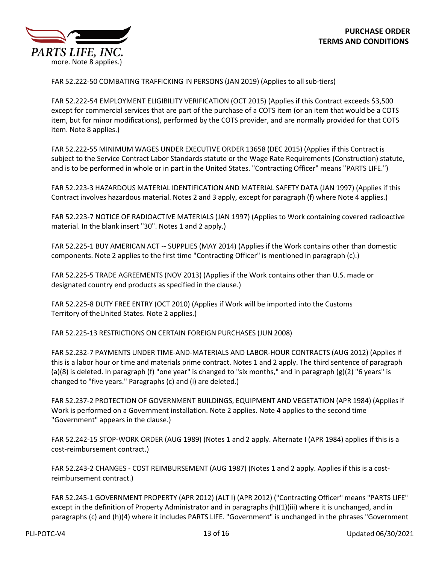

FAR 52.222-50 COMBATING TRAFFICKING IN PERSONS (JAN 2019) (Applies to allsub-tiers)

FAR 52.222-54 EMPLOYMENT ELIGIBILITY VERIFICATION (OCT 2015) (Applies if this Contract exceeds \$3,500 except for commercial services that are part of the purchase of a COTS item (or an item that would be a COTS item, but for minor modifications), performed by the COTS provider, and are normally provided for that COTS item. Note 8 applies.)

FAR 52.222-55 MINIMUM WAGES UNDER EXECUTIVE ORDER 13658 (DEC 2015) (Applies if this Contract is subject to the Service Contract Labor Standards statute or the Wage Rate Requirements (Construction) statute, and is to be performed in whole or in part in the United States. "Contracting Officer" means "PARTS LIFE.")

FAR 52.223-3 HAZARDOUS MATERIAL IDENTIFICATION AND MATERIAL SAFETY DATA (JAN 1997) (Applies if this Contract involves hazardous material. Notes 2 and 3 apply, except for paragraph (f) where Note 4 applies.)

FAR 52.223-7 NOTICE OF RADIOACTIVE MATERIALS (JAN 1997) (Applies to Work containing covered radioactive material. In the blank insert "30". Notes 1 and 2 apply.)

FAR 52.225-1 BUY AMERICAN ACT -- SUPPLIES (MAY 2014) (Applies if the Work contains other than domestic components. Note 2 applies to the first time "Contracting Officer" is mentioned in paragraph (c).)

FAR 52.225-5 TRADE AGREEMENTS (NOV 2013) (Applies if the Work contains other than U.S. made or designated country end products as specified in the clause.)

FAR 52.225-8 DUTY FREE ENTRY (OCT 2010) (Applies if Work will be imported into the Customs Territory of theUnited States. Note 2 applies.)

FAR 52.225-13 RESTRICTIONS ON CERTAIN FOREIGN PURCHASES (JUN 2008)

FAR 52.232-7 PAYMENTS UNDER TIME-AND-MATERIALS AND LABOR-HOUR CONTRACTS (AUG 2012) (Applies if this is a labor hour or time and materials prime contract. Notes 1 and 2 apply. The third sentence of paragraph (a)(8) is deleted. In paragraph (f) "one year" is changed to "six months," and in paragraph (g)(2) "6 years" is changed to "five years." Paragraphs (c) and (i) are deleted.)

FAR 52.237-2 PROTECTION OF GOVERNMENT BUILDINGS, EQUIPMENT AND VEGETATION (APR 1984) (Applies if Work is performed on a Government installation. Note 2 applies. Note 4 applies to the second time "Government" appears in the clause.)

FAR 52.242-15 STOP-WORK ORDER (AUG 1989) (Notes 1 and 2 apply. Alternate I (APR 1984) applies if this is a cost-reimbursement contract.)

FAR 52.243-2 CHANGES - COST REIMBURSEMENT (AUG 1987) (Notes 1 and 2 apply. Applies if this is a costreimbursement contract.)

FAR 52.245-1 GOVERNMENT PROPERTY (APR 2012) (ALT I) (APR 2012) ("Contracting Officer" means "PARTS LIFE" except in the definition of Property Administrator and in paragraphs (h)(1)(iii) where it is unchanged, and in paragraphs (c) and (h)(4) where it includes PARTS LIFE. "Government" is unchanged in the phrases "Government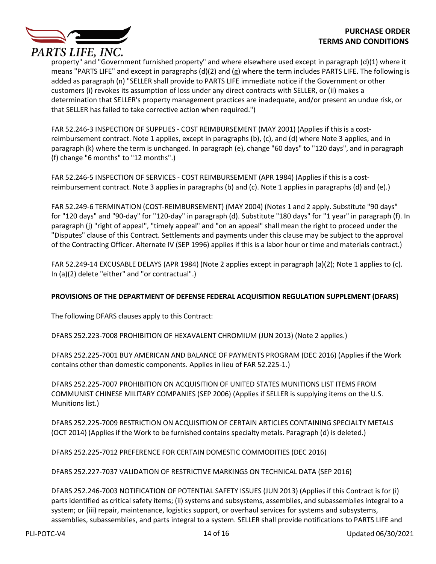

property" and "Government furnished property" and where elsewhere used except in paragraph (d)(1) where it means "PARTS LIFE" and except in paragraphs (d)(2) and (g) where the term includes PARTS LIFE. The following is added as paragraph (n) "SELLER shall provide to PARTS LIFE immediate notice if the Government or other customers (i) revokes its assumption of loss under any direct contracts with SELLER, or (ii) makes a determination that SELLER's property management practices are inadequate, and/or present an undue risk, or that SELLER has failed to take corrective action when required.")

FAR 52.246-3 INSPECTION OF SUPPLIES - COST REIMBURSEMENT (MAY 2001) (Applies if this is a costreimbursement contract. Note 1 applies, except in paragraphs (b), (c), and (d) where Note 3 applies, and in paragraph (k) where the term is unchanged. In paragraph (e), change "60 days" to "120 days", and in paragraph (f) change "6 months" to "12 months".)

FAR 52.246-5 INSPECTION OF SERVICES - COST REIMBURSEMENT (APR 1984) (Applies if this is a costreimbursement contract. Note 3 applies in paragraphs (b) and (c). Note 1 applies in paragraphs (d) and (e).)

FAR 52.249-6 TERMINATION (COST-REIMBURSEMENT) (MAY 2004) (Notes 1 and 2 apply. Substitute "90 days" for "120 days" and "90-day" for "120-day" in paragraph (d). Substitute "180 days" for "1 year" in paragraph (f). In paragraph (j) "right of appeal", "timely appeal" and "on an appeal" shall mean the right to proceed under the "Disputes" clause of this Contract. Settlements and payments under this clause may be subject to the approval of the Contracting Officer. Alternate IV (SEP 1996) applies if this is a labor hour or time and materials contract.)

FAR 52.249-14 EXCUSABLE DELAYS (APR 1984) (Note 2 applies except in paragraph (a)(2); Note 1 applies to (c). In (a)(2) delete "either" and "or contractual".)

# **PROVISIONS OF THE DEPARTMENT OF DEFENSE FEDERAL ACQUISITION REGULATION SUPPLEMENT (DFARS)**

The following DFARS clauses apply to this Contract:

DFARS 252.223-7008 PROHIBITION OF HEXAVALENT CHROMIUM (JUN 2013) (Note 2 applies.)

DFARS 252.225-7001 BUY AMERICAN AND BALANCE OF PAYMENTS PROGRAM (DEC 2016) (Applies if the Work contains other than domestic components. Applies in lieu of FAR 52.225-1.)

DFARS 252.225-7007 PROHIBITION ON ACQUISITION OF UNITED STATES MUNITIONS LIST ITEMS FROM COMMUNIST CHINESE MILITARY COMPANIES (SEP 2006) (Applies if SELLER is supplying items on the U.S. Munitions list.)

DFARS 252.225-7009 RESTRICTION ON ACQUISITION OF CERTAIN ARTICLES CONTAINING SPECIALTY METALS (OCT 2014) (Applies if the Work to be furnished contains specialty metals. Paragraph (d) is deleted.)

DFARS 252.225-7012 PREFERENCE FOR CERTAIN DOMESTIC COMMODITIES (DEC 2016)

DFARS 252.227-7037 VALIDATION OF RESTRICTIVE MARKINGS ON TECHNICAL DATA (SEP 2016)

DFARS 252.246-7003 NOTIFICATION OF POTENTIAL SAFETY ISSUES (JUN 2013) (Applies if this Contract is for (i) parts identified as critical safety items; (ii) systems and subsystems, assemblies, and subassemblies integral to a system; or (iii) repair, maintenance, logistics support, or overhaul services for systems and subsystems, assemblies, subassemblies, and parts integral to a system. SELLER shall provide notifications to PARTS LIFE and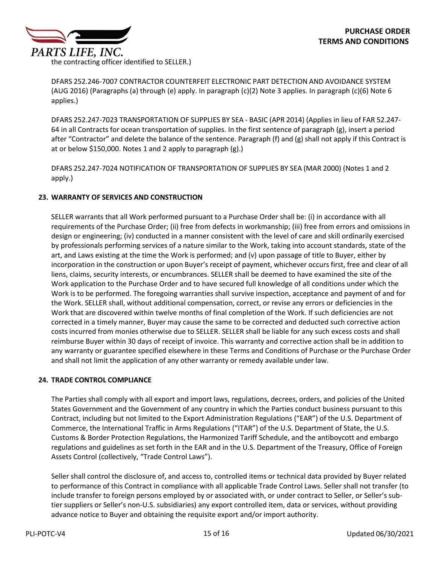the contracting officer identified to SELLER.)

DFARS 252.246-7007 CONTRACTOR COUNTERFEIT ELECTRONIC PART DETECTION AND AVOIDANCE SYSTEM (AUG 2016) (Paragraphs (a) through (e) apply. In paragraph (c)(2) Note 3 applies. In paragraph (c)(6) Note 6 applies.)

DFARS 252.247-7023 TRANSPORTATION OF SUPPLIES BY SEA - BASIC (APR 2014) (Applies in lieu of FAR 52.247- 64 in all Contracts for ocean transportation of supplies. In the first sentence of paragraph (g), insert a period after "Contractor" and delete the balance of the sentence. Paragraph (f) and (g) shall not apply if this Contract is at or below \$150,000. Notes 1 and 2 apply to paragraph (g).)

DFARS 252.247-7024 NOTIFICATION OF TRANSPORTATION OF SUPPLIES BY SEA (MAR 2000) (Notes 1 and 2 apply.)

# **23. WARRANTY OF SERVICES AND CONSTRUCTION**

SELLER warrants that all Work performed pursuant to a Purchase Order shall be: (i) in accordance with all requirements of the Purchase Order; (ii) free from defects in workmanship; (iii) free from errors and omissions in design or engineering; (iv) conducted in a manner consistent with the level of care and skill ordinarily exercised by professionals performing services of a nature similar to the Work, taking into account standards, state of the art, and Laws existing at the time the Work is performed; and (v) upon passage of title to Buyer, either by incorporation in the construction or upon Buyer's receipt of payment, whichever occurs first, free and clear of all liens, claims, security interests, or encumbrances. SELLER shall be deemed to have examined the site of the Work application to the Purchase Order and to have secured full knowledge of all conditions under which the Work is to be performed. The foregoing warranties shall survive inspection, acceptance and payment of and for the Work. SELLER shall, without additional compensation, correct, or revise any errors or deficiencies in the Work that are discovered within twelve months of final completion of the Work. If such deficiencies are not corrected in a timely manner, Buyer may cause the same to be corrected and deducted such corrective action costs incurred from monies otherwise due to SELLER. SELLER shall be liable for any such excess costs and shall reimburse Buyer within 30 days of receipt of invoice. This warranty and corrective action shall be in addition to any warranty or guarantee specified elsewhere in these Terms and Conditions of Purchase or the Purchase Order and shall not limit the application of any other warranty or remedy available under law.

# **24. TRADE CONTROL COMPLIANCE**

The Parties shall comply with all export and import laws, regulations, decrees, orders, and policies of the United States Government and the Government of any country in which the Parties conduct business pursuant to this Contract, including but not limited to the Export Administration Regulations ("EAR") of the U.S. Department of Commerce, the International Traffic in Arms Regulations ("ITAR") of the U.S. Department of State, the U.S. Customs & Border Protection Regulations, the Harmonized Tariff Schedule, and the antiboycott and embargo regulations and guidelines as set forth in the EAR and in the U.S. Department of the Treasury, Office of Foreign Assets Control (collectively, "Trade Control Laws").

Seller shall control the disclosure of, and access to, controlled items or technical data provided by Buyer related to performance of this Contract in compliance with all applicable Trade Control Laws. Seller shall not transfer (to include transfer to foreign persons employed by or associated with, or under contract to Seller, or Seller's subtier suppliers or Seller's non-U.S. subsidiaries) any export controlled item, data or services, without providing advance notice to Buyer and obtaining the requisite export and/or import authority.